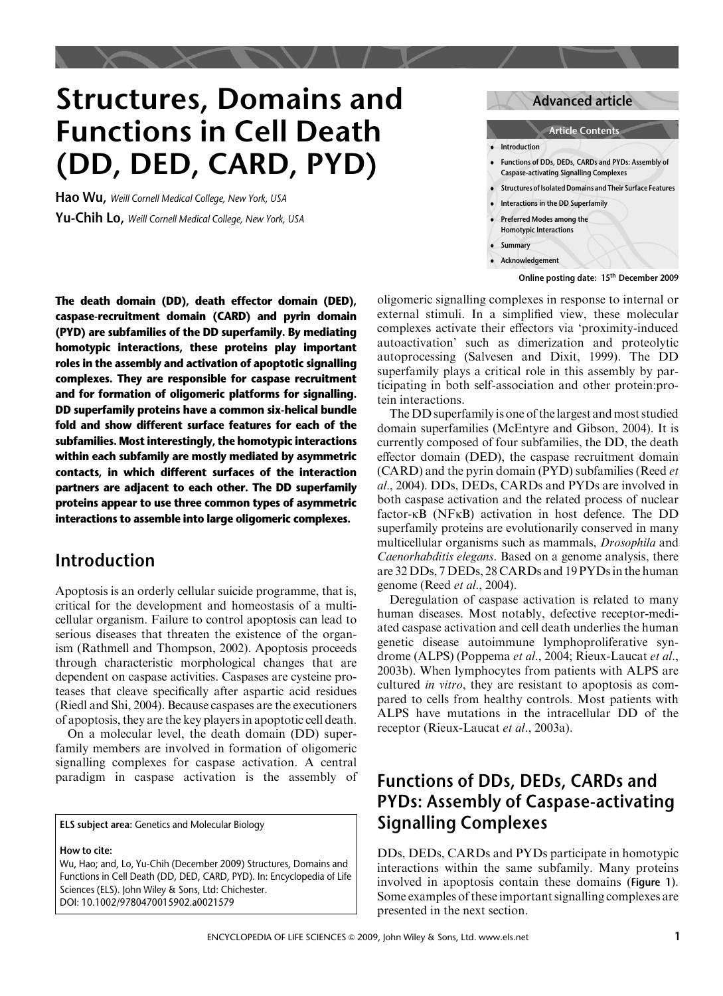# Structures, Domains and Functions in Cell Death (DD, DED, CARD, PYD)

Hao Wu, Weill Cornell Medical College, New York, USA Yu-Chih Lo, Weill Cornell Medical College, New York, USA

The death domain (DD), death effector domain (DED), caspase-recruitment domain (CARD) and pyrin domain (PYD) are subfamilies of the DD superfamily. By mediating homotypic interactions, these proteins play important roles in the assembly and activation of apoptotic signalling complexes. They are responsible for caspase recruitment and for formation of oligomeric platforms for signalling. DD superfamily proteins have a common six-helical bundle fold and show different surface features for each of the subfamilies. Most interestingly, the homotypic interactions within each subfamily are mostly mediated by asymmetric contacts, in which different surfaces of the interaction partners are adjacent to each other. The DD superfamily proteins appear to use three common types of asymmetric interactions to assemble into large oligomeric complexes.

# Introduction

Apoptosis is an orderly cellular suicide programme, that is, critical for the development and homeostasis of a multicellular organism. Failure to control apoptosis can lead to serious diseases that threaten the existence of the organism (Rathmell and Thompson, 2002). Apoptosis proceeds through characteristic morphological changes that are dependent on caspase activities. Caspases are cysteine proteases that cleave specifically after aspartic acid residues (Riedl and Shi, 2004). Because caspases are the executioners of apoptosis, they are the key players in apoptotic cell death.

On a molecular level, the death domain (DD) superfamily members are involved in formation of oligomeric signalling complexes for caspase activation. A central paradigm in caspase activation is the assembly of

ELS subject area: Genetics and Molecular Biology

How to cite: Wu, Hao; and, Lo, Yu-Chih (December 2009) Structures, Domains and Functions in Cell Death (DD, DED, CARD, PYD). In: Encyclopedia of Life Sciences (ELS). John Wiley & Sons, Ltd: Chichester. DOI: 10.1002/9780470015902.a0021579

#### Advanced article

#### **Article Contents .** Introduction . Functions of DDs, DEDs, CARDs and PYDs: Assembly of Caspase-activating Signalling Complexes . Structures of Isolated Domains and Their Surface Features **.** Interactions in the DD Superfamily

- . Preferred Modes among the
- Homotypic Interactions
- . Summary
- . Acknowledgement

#### Online posting date: 15th December 2009

oligomeric signalling complexes in response to internal or external stimuli. In a simplified view, these molecular complexes activate their effectors via 'proximity-induced autoactivation' such as dimerization and proteolytic autoprocessing (Salvesen and Dixit, 1999). The DD superfamily plays a critical role in this assembly by participating in both self-association and other protein:protein interactions.

The DD superfamily is one of the largest and most studied domain superfamilies (McEntyre and Gibson, 2004). It is currently composed of four subfamilies, the DD, the death effector domain (DED), the caspase recruitment domain (CARD) and the pyrin domain (PYD) subfamilies (Reed et al., 2004). DDs, DEDs, CARDs and PYDs are involved in both caspase activation and the related process of nuclear factor-kB (NFkB) activation in host defence. The DD superfamily proteins are evolutionarily conserved in many multicellular organisms such as mammals, Drosophila and Caenorhabditis elegans. Based on a genome analysis, there are 32 DDs, 7 DEDs, 28 CARDs and 19 PYDs in the human genome (Reed et al., 2004).

Deregulation of caspase activation is related to many human diseases. Most notably, defective receptor-mediated caspase activation and cell death underlies the human genetic disease autoimmune lymphoproliferative syndrome (ALPS) (Poppema et al., 2004; Rieux-Laucat et al., 2003b). When lymphocytes from patients with ALPS are cultured in vitro, they are resistant to apoptosis as compared to cells from healthy controls. Most patients with ALPS have mutations in the intracellular DD of the receptor (Rieux-Laucat et al., 2003a).

# Functions of DDs, DEDs, CARDs and PYDs: Assembly of Caspase-activating Signalling Complexes

DDs, DEDs, CARDs and PYDs participate in homotypic interactions within the same subfamily. Many proteins involved in apoptosis contain these domains (Figure 1). Some examples of these important signalling complexes are presented in the next section.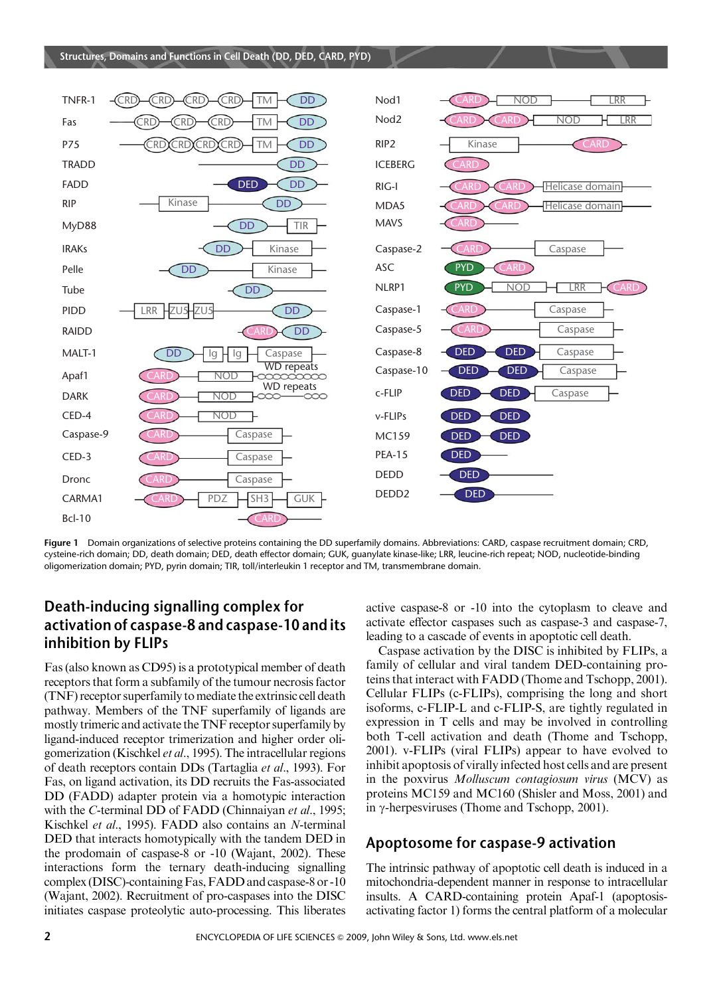

Figure 1 Domain organizations of selective proteins containing the DD superfamily domains. Abbreviations: CARD, caspase recruitment domain; CRD, cysteine-rich domain; DD, death domain; DED, death effector domain; GUK, guanylate kinase-like; LRR, leucine-rich repeat; NOD, nucleotide-binding oligomerization domain; PYD, pyrin domain; TIR, toll/interleukin 1 receptor and TM, transmembrane domain.

## Death-inducing signalling complex for activation of caspase-8 and caspase-10 and its inhibition by FLIPs

Fas (also known as CD95) is a prototypical member of death receptors that form a subfamily of the tumour necrosis factor (TNF) receptor superfamily tomediate the extrinsic cell death pathway. Members of the TNF superfamily of ligands are mostly trimeric and activate the TNF receptor superfamily by ligand-induced receptor trimerization and higher order oligomerization (Kischkel et al., 1995). The intracellular regions of death receptors contain DDs (Tartaglia et al., 1993). For Fas, on ligand activation, its DD recruits the Fas-associated DD (FADD) adapter protein via a homotypic interaction with the C-terminal DD of FADD (Chinnaiyan et al., 1995; Kischkel et al., 1995). FADD also contains an N-terminal DED that interacts homotypically with the tandem DED in the prodomain of caspase-8 or -10 (Wajant, 2002). These interactions form the ternary death-inducing signalling complex (DISC)-containing Fas,FADD and caspase-8 or -10 (Wajant, 2002). Recruitment of pro-caspases into the DISC initiates caspase proteolytic auto-processing. This liberates active caspase-8 or -10 into the cytoplasm to cleave and activate effector caspases such as caspase-3 and caspase-7, leading to a cascade of events in apoptotic cell death.

Caspase activation by the DISC is inhibited by FLIPs, a family of cellular and viral tandem DED-containing proteins that interact with FADD (Thome and Tschopp, 2001). Cellular FLIPs (c-FLIPs), comprising the long and short isoforms, c-FLIP-L and c-FLIP-S, are tightly regulated in expression in T cells and may be involved in controlling both T-cell activation and death (Thome and Tschopp, 2001). v-FLIPs (viral FLIPs) appear to have evolved to inhibit apoptosis of virally infected host cells and are present in the poxvirus Molluscum contagiosum virus (MCV) as proteins MC159 and MC160 (Shisler and Moss, 2001) and in  $\gamma$ -herpesviruses (Thome and Tschopp, 2001).

#### Apoptosome for caspase-9 activation

The intrinsic pathway of apoptotic cell death is induced in a mitochondria-dependent manner in response to intracellular insults. A CARD-containing protein Apaf-1 (apoptosisactivating factor 1) forms the central platform of a molecular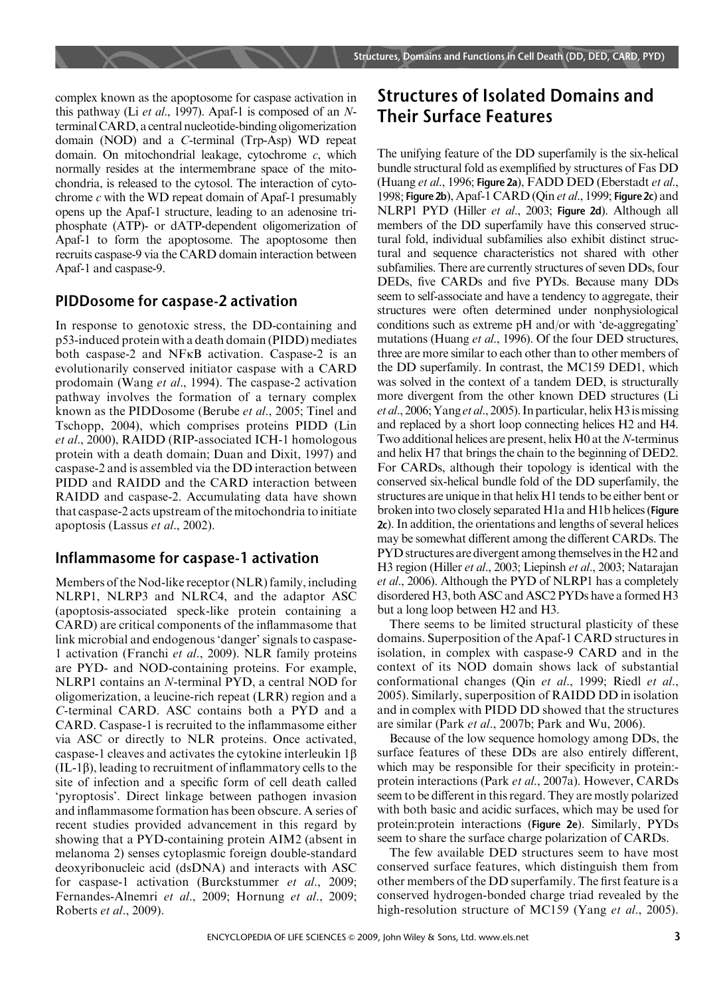complex known as the apoptosome for caspase activation in this pathway (Li et al., 1997). Apaf-1 is composed of an  $N$ terminal CARD, a central nucleotide-binding oligomerization domain (NOD) and a C-terminal (Trp-Asp) WD repeat domain. On mitochondrial leakage, cytochrome c, which normally resides at the intermembrane space of the mitochondria, is released to the cytosol. The interaction of cytochrome  $c$  with the WD repeat domain of Apaf-1 presumably opens up the Apaf-1 structure, leading to an adenosine triphosphate (ATP)- or dATP-dependent oligomerization of Apaf-1 to form the apoptosome. The apoptosome then recruits caspase-9 via the CARD domain interaction between Apaf-1 and caspase-9.

#### PIDDosome for caspase-2 activation

In response to genotoxic stress, the DD-containing and p53-induced protein with a death domain (PIDD) mediates both caspase-2 and NFkB activation. Caspase-2 is an evolutionarily conserved initiator caspase with a CARD prodomain (Wang et al., 1994). The caspase-2 activation pathway involves the formation of a ternary complex known as the PIDDosome (Berube et al., 2005; Tinel and Tschopp, 2004), which comprises proteins PIDD (Lin et al., 2000), RAIDD (RIP-associated ICH-1 homologous protein with a death domain; Duan and Dixit, 1997) and caspase-2 and is assembled via the DD interaction between PIDD and RAIDD and the CARD interaction between RAIDD and caspase-2. Accumulating data have shown that caspase-2 acts upstream of the mitochondria to initiate apoptosis (Lassus et al., 2002).

#### Inflammasome for caspase-1 activation

Members of the Nod-like receptor (NLR) family, including NLRP1, NLRP3 and NLRC4, and the adaptor ASC (apoptosis-associated speck-like protein containing a CARD) are critical components of the inflammasome that link microbial and endogenous 'danger' signals to caspase-1 activation (Franchi et al., 2009). NLR family proteins are PYD- and NOD-containing proteins. For example, NLRP1 contains an N-terminal PYD, a central NOD for oligomerization, a leucine-rich repeat (LRR) region and a C-terminal CARD. ASC contains both a PYD and a CARD. Caspase-1 is recruited to the inflammasome either via ASC or directly to NLR proteins. Once activated, caspase-1 cleaves and activates the cytokine interleukin  $1\beta$  $(IL-1\beta)$ , leading to recruitment of inflammatory cells to the site of infection and a specific form of cell death called 'pyroptosis'. Direct linkage between pathogen invasion and inflammasome formation has been obscure. A series of recent studies provided advancement in this regard by showing that a PYD-containing protein AIM2 (absent in melanoma 2) senses cytoplasmic foreign double-standard deoxyribonucleic acid (dsDNA) and interacts with ASC for caspase-1 activation (Burckstummer et al., 2009; Fernandes-Alnemri et al., 2009; Hornung et al., 2009; Roberts et al., 2009).

# Structures of Isolated Domains and Their Surface Features

The unifying feature of the DD superfamily is the six-helical bundle structural fold as exemplified by structures of Fas DD (Huang et al., 1996; Figure 2a), FADD DED (Eberstadt et al., 1998; Figure 2b), Apaf-1 CARD (Qin et al., 1999; Figure 2c) and NLRP1 PYD (Hiller et al., 2003; Figure 2d). Although all members of the DD superfamily have this conserved structural fold, individual subfamilies also exhibit distinct structural and sequence characteristics not shared with other subfamilies. There are currently structures of seven DDs, four DEDs, five CARDs and five PYDs. Because many DDs seem to self-associate and have a tendency to aggregate, their structures were often determined under nonphysiological conditions such as extreme pH and/or with 'de-aggregating' mutations (Huang et al., 1996). Of the four DED structures, three are more similar to each other than to other members of the DD superfamily. In contrast, the MC159 DED1, which was solved in the context of a tandem DED, is structurally more divergent from the other known DED structures (Li et al., 2006; Yang et al., 2005). In particular, helix H3 is missing and replaced by a short loop connecting helices H2 and H4. Two additional helices are present, helix H0 at the N-terminus and helix H7 that brings the chain to the beginning of DED2. For CARDs, although their topology is identical with the conserved six-helical bundle fold of the DD superfamily, the structures are unique in that helix H1 tends to be either bent or broken into two closely separated H1a and H1b helices (Figure 2c). In addition, the orientations and lengths of several helices may be somewhat different among the different CARDs. The PYD structures are divergent among themselves in the H2 and H3 region (Hiller et al., 2003; Liepinsh et al., 2003; Natarajan et al., 2006). Although the PYD of NLRP1 has a completely disordered H3, both ASC and ASC2 PYDs have a formed H3 but a long loop between H2 and H3.

There seems to be limited structural plasticity of these domains. Superposition of the Apaf-1 CARD structures in isolation, in complex with caspase-9 CARD and in the context of its NOD domain shows lack of substantial conformational changes (Qin et al., 1999; Riedl et al., 2005). Similarly, superposition of RAIDD DD in isolation and in complex with PIDD DD showed that the structures are similar (Park et al., 2007b; Park and Wu, 2006).

Because of the low sequence homology among DDs, the surface features of these DDs are also entirely different, which may be responsible for their specificity in protein: protein interactions (Park et al., 2007a). However, CARDs seem to be different in this regard. They are mostly polarized with both basic and acidic surfaces, which may be used for protein:protein interactions (Figure 2e). Similarly, PYDs seem to share the surface charge polarization of CARDs.

The few available DED structures seem to have most conserved surface features, which distinguish them from other members of the DD superfamily. The first feature is a conserved hydrogen-bonded charge triad revealed by the high-resolution structure of MC159 (Yang et al., 2005).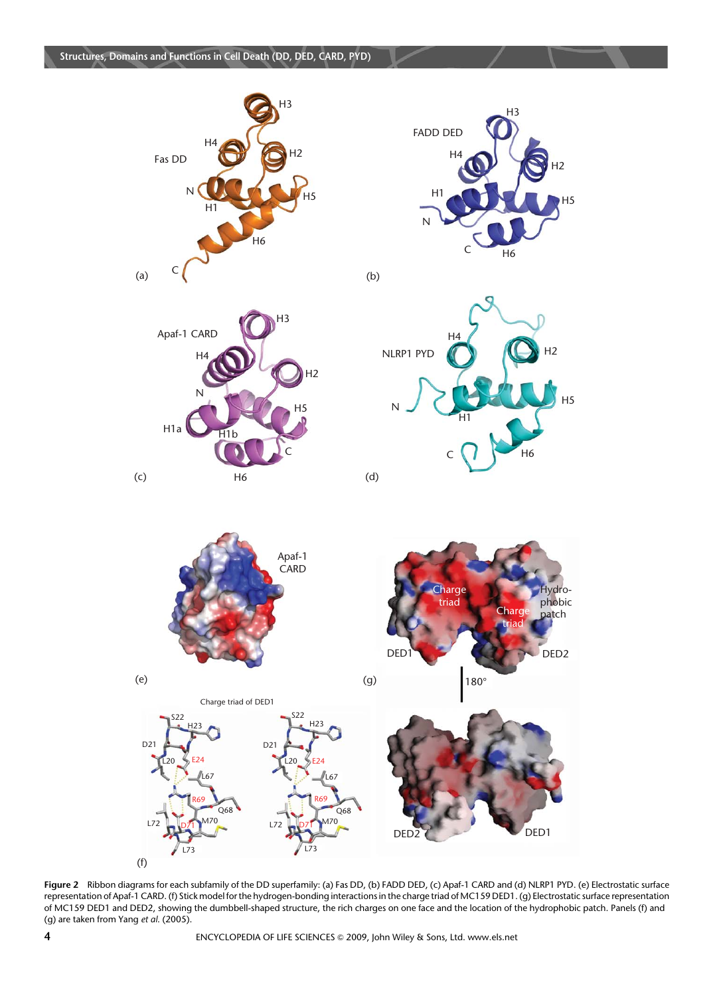









Figure 2 Ribbon diagrams for each subfamily of the DD superfamily: (a) Fas DD, (b) FADD DED, (c) Apaf-1 CARD and (d) NLRP1 PYD. (e) Electrostatic surface representation of Apaf-1 CARD. (f) Stick model for the hydrogen-bonding interactions in the charge triad of MC159 DED1. (g) Electrostatic surface representation of MC159 DED1 and DED2, showing the dumbbell-shaped structure, the rich charges on one face and the location of the hydrophobic patch. Panels (f) and (g) are taken from Yang et al. (2005).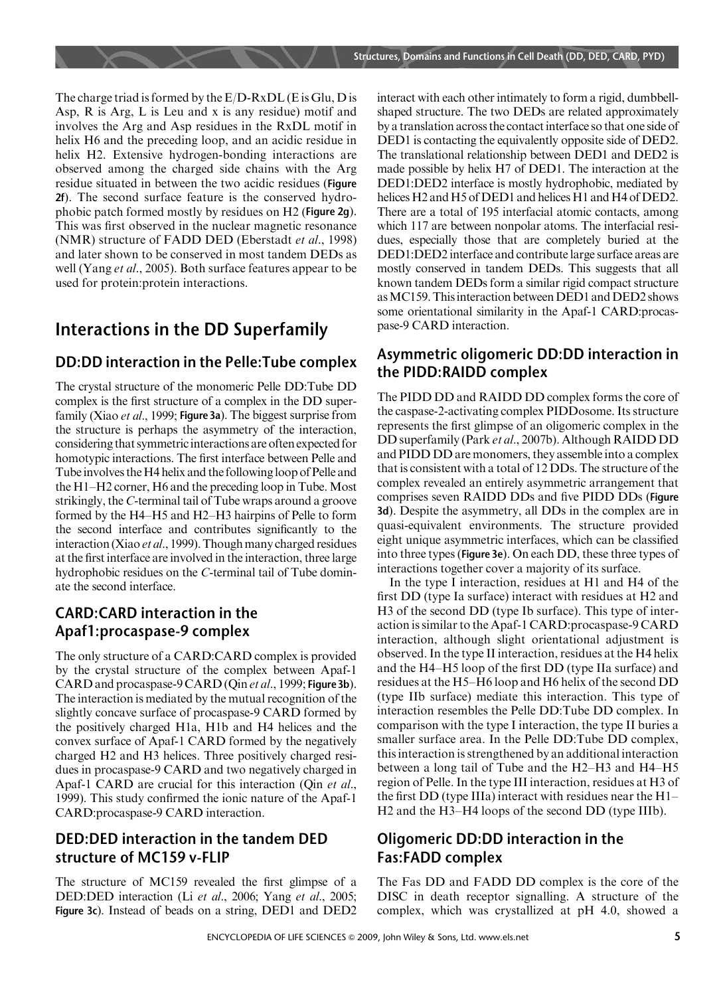The charge triad is formed by the E/D-RxDL (E is Glu, D is Asp, R is Arg, L is Leu and x is any residue) motif and involves the Arg and Asp residues in the RxDL motif in helix H6 and the preceding loop, and an acidic residue in helix H2. Extensive hydrogen-bonding interactions are observed among the charged side chains with the Arg residue situated in between the two acidic residues (Figure 2f). The second surface feature is the conserved hydrophobic patch formed mostly by residues on H2 (Figure 2g). This was first observed in the nuclear magnetic resonance (NMR) structure of FADD DED (Eberstadt et al., 1998) and later shown to be conserved in most tandem DEDs as well (Yang *et al.*, 2005). Both surface features appear to be used for protein:protein interactions.

# Interactions in the DD Superfamily

## DD:DD interaction in the Pelle:Tube complex

The crystal structure of the monomeric Pelle DD:Tube DD complex is the first structure of a complex in the DD superfamily (Xiao et al., 1999; Figure 3a). The biggest surprise from the structure is perhaps the asymmetry of the interaction, considering that symmetricinteractions are often expected for homotypic interactions. The first interface between Pelle and Tube involves the H4 helix and the following loop of Pelle and the H1–H2 corner, H6 and the preceding loop in Tube. Most strikingly, the C-terminal tail of Tube wraps around a groove formed by the H4–H5 and H2–H3 hairpins of Pelle to form the second interface and contributes significantly to the interaction (Xiao *et al.*, 1999). Though many charged residues at the first interface are involved in the interaction, three large hydrophobic residues on the C-terminal tail of Tube dominate the second interface.

### CARD:CARD interaction in the Apaf1:procaspase-9 complex

The only structure of a CARD:CARD complex is provided by the crystal structure of the complex between Apaf-1 CARD and procaspase-9 CARD (Qin et al., 1999; Figure 3b). The interaction is mediated by the mutual recognition of the slightly concave surface of procaspase-9 CARD formed by the positively charged H1a, H1b and H4 helices and the convex surface of Apaf-1 CARD formed by the negatively charged H2 and H3 helices. Three positively charged residues in procaspase-9 CARD and two negatively charged in Apaf-1 CARD are crucial for this interaction (Qin et al., 1999). This study confirmed the ionic nature of the Apaf-1 CARD:procaspase-9 CARD interaction.

### DED:DED interaction in the tandem DED structure of MC159 v-FLIP

The structure of MC159 revealed the first glimpse of a DED:DED interaction (Li et al., 2006; Yang et al., 2005; Figure 3c). Instead of beads on a string, DED1 and DED2 interact with each other intimately to form a rigid, dumbbellshaped structure. The two DEDs are related approximately by a translation across the contact interface so that one side of DED1 is contacting the equivalently opposite side of DED2. The translational relationship between DED1 and DED2 is made possible by helix H7 of DED1. The interaction at the DED1:DED2 interface is mostly hydrophobic, mediated by helices H2 and H5 of DED1 and helices H1 and H4 of DED2. There are a total of 195 interfacial atomic contacts, among which 117 are between nonpolar atoms. The interfacial residues, especially those that are completely buried at the DED1:DED2 interface and contribute large surface areas are mostly conserved in tandem DEDs. This suggests that all known tandem DEDs form a similar rigid compact structure as MC159. This interaction between DED1 and DED2 shows some orientational similarity in the Apaf-1 CARD:procaspase-9 CARD interaction.

#### Asymmetric oligomeric DD:DD interaction in the PIDD:RAIDD complex

The PIDD DD and RAIDD DD complex forms the core of the caspase-2-activating complex PIDDosome. Its structure represents the first glimpse of an oligomeric complex in the DD superfamily (Park et al., 2007b). Although RAIDD DD and PIDD DD are monomers, they assemble into a complex that is consistent with a total of 12 DDs. The structure of the complex revealed an entirely asymmetric arrangement that comprises seven RAIDD DDs and five PIDD DDs (Figure 3d). Despite the asymmetry, all DDs in the complex are in quasi-equivalent environments. The structure provided eight unique asymmetric interfaces, which can be classified into three types (Figure 3e). On each DD, these three types of interactions together cover a majority of its surface.

In the type I interaction, residues at H1 and H4 of the first DD (type Ia surface) interact with residues at H2 and H3 of the second DD (type Ib surface). This type of interaction is similar to the Apaf-1 CARD:procaspase-9 CARD interaction, although slight orientational adjustment is observed. In the type II interaction, residues at the H4 helix and the H4–H5 loop of the first DD (type IIa surface) and residues at the H5–H6 loop and H6 helix of the second DD (type IIb surface) mediate this interaction. This type of interaction resembles the Pelle DD:Tube DD complex. In comparison with the type I interaction, the type II buries a smaller surface area. In the Pelle DD:Tube DD complex, this interaction is strengthened by an additional interaction between a long tail of Tube and the H2–H3 and H4–H5 region of Pelle. In the type III interaction, residues at H3 of the first DD (type IIIa) interact with residues near the H1– H2 and the H3–H4 loops of the second DD (type IIIb).

### Oligomeric DD:DD interaction in the Fas:FADD complex

The Fas DD and FADD DD complex is the core of the DISC in death receptor signalling. A structure of the complex, which was crystallized at pH 4.0, showed a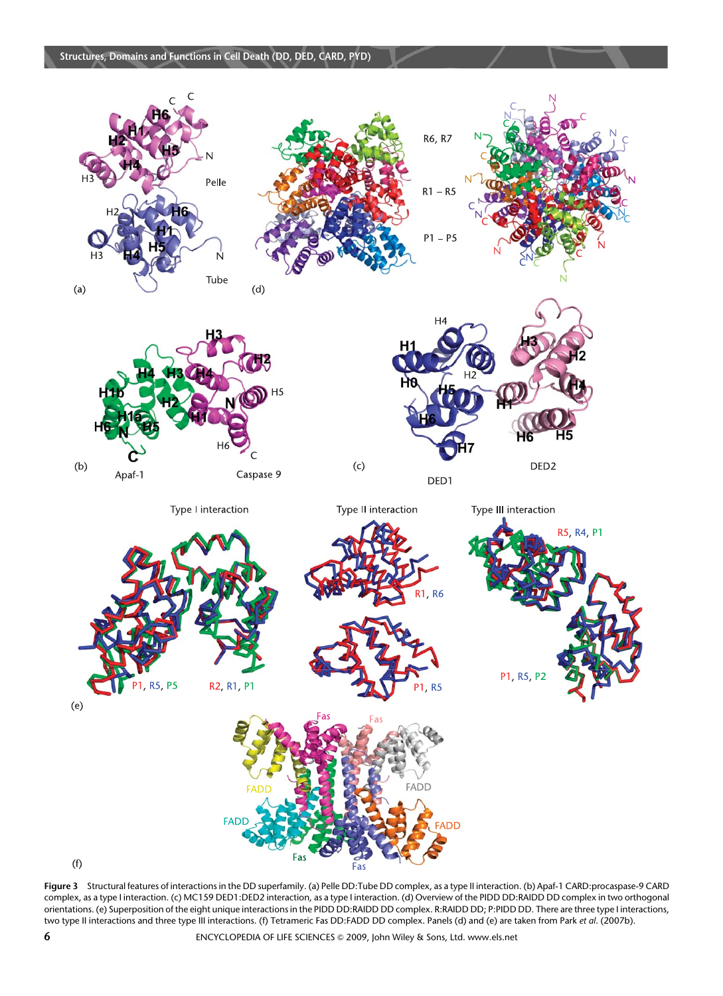

 $(f)$ 

Figure 3 Structural features of interactions in the DD superfamily. (a) Pelle DD:Tube DD complex, as a type II interaction. (b) Apaf-1 CARD:procaspase-9 CARD complex, as a type I interaction. (c) MC159 DED1:DED2 interaction, as a type I interaction. (d) Overview of the PIDD DD:RAIDD DD complex in two orthogonal orientations. (e) Superposition of the eight unique interactions in the PIDD DD:RAIDD DD complex. R:RAIDD DD; P:PIDD DD. There are three type I interactions, two type II interactions and three type III interactions. (f) Tetrameric Fas DD:FADD DD complex. Panels (d) and (e) are taken from Park et al. (2007b).

Fas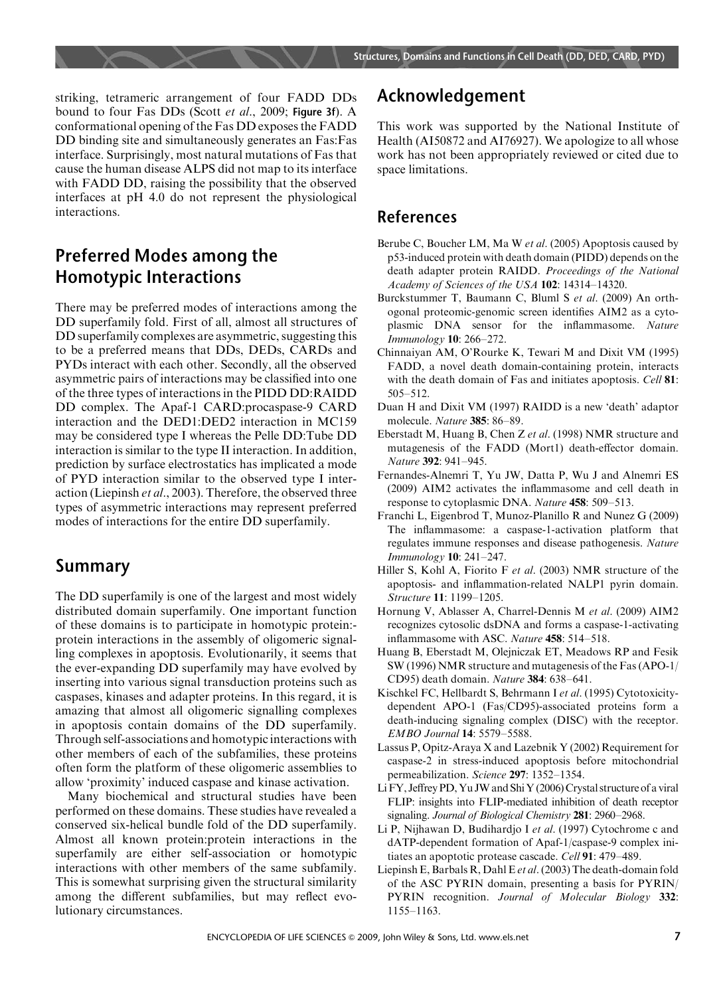striking, tetrameric arrangement of four FADD DDs bound to four Fas DDs (Scott et al., 2009; Figure 3f). A conformational opening of the Fas DD exposes the FADD DD binding site and simultaneously generates an Fas:Fas interface. Surprisingly, most natural mutations of Fas that cause the human disease ALPS did not map to its interface with FADD DD, raising the possibility that the observed interfaces at pH 4.0 do not represent the physiological interactions.

# Preferred Modes among the Homotypic Interactions

There may be preferred modes of interactions among the DD superfamily fold. First of all, almost all structures of DD superfamily complexes are asymmetric, suggesting this to be a preferred means that DDs, DEDs, CARDs and PYDs interact with each other. Secondly, all the observed asymmetric pairs of interactions may be classified into one of the three types of interactions in the PIDD DD:RAIDD DD complex. The Apaf-1 CARD:procaspase-9 CARD interaction and the DED1:DED2 interaction in MC159 may be considered type I whereas the Pelle DD:Tube DD interaction is similar to the type II interaction. In addition, prediction by surface electrostatics has implicated a mode of PYD interaction similar to the observed type I interaction (Liepinsh et al., 2003). Therefore, the observed three types of asymmetric interactions may represent preferred modes of interactions for the entire DD superfamily.

# Summary

The DD superfamily is one of the largest and most widely distributed domain superfamily. One important function of these domains is to participate in homotypic protein: protein interactions in the assembly of oligomeric signalling complexes in apoptosis. Evolutionarily, it seems that the ever-expanding DD superfamily may have evolved by inserting into various signal transduction proteins such as caspases, kinases and adapter proteins. In this regard, it is amazing that almost all oligomeric signalling complexes in apoptosis contain domains of the DD superfamily. Through self-associations and homotypic interactions with other members of each of the subfamilies, these proteins often form the platform of these oligomeric assemblies to allow 'proximity' induced caspase and kinase activation.

Many biochemical and structural studies have been performed on these domains. These studies have revealed a conserved six-helical bundle fold of the DD superfamily. Almost all known protein:protein interactions in the superfamily are either self-association or homotypic interactions with other members of the same subfamily. This is somewhat surprising given the structural similarity among the different subfamilies, but may reflect evolutionary circumstances.

# Acknowledgement

This work was supported by the National Institute of Health (AI50872 and AI76927). We apologize to all whose work has not been appropriately reviewed or cited due to space limitations.

#### References

- Berube C, Boucher LM, Ma W et al. (2005) Apoptosis caused by p53-induced protein with death domain (PIDD) depends on the death adapter protein RAIDD. Proceedings of the National Academy of Sciences of the USA 102: 14314–14320.
- Burckstummer T, Baumann C, Bluml S et al. (2009) An orthogonal proteomic-genomic screen identifies AIM2 as a cytoplasmic DNA sensor for the inflammasome. Nature Immunology 10: 266–272.
- Chinnaiyan AM, O'Rourke K, Tewari M and Dixit VM (1995) FADD, a novel death domain-containing protein, interacts with the death domain of Fas and initiates apoptosis. Cell 81: 505–512.
- Duan H and Dixit VM (1997) RAIDD is a new 'death' adaptor molecule. Nature 385: 86–89.
- Eberstadt M, Huang B, Chen Z et al. (1998) NMR structure and mutagenesis of the FADD (Mort1) death-effector domain. Nature 392: 941–945.
- Fernandes-Alnemri T, Yu JW, Datta P, Wu J and Alnemri ES (2009) AIM2 activates the inflammasome and cell death in response to cytoplasmic DNA. Nature 458: 509–513.
- Franchi L, Eigenbrod T, Munoz-Planillo R and Nunez G (2009) The inflammasome: a caspase-1-activation platform that regulates immune responses and disease pathogenesis. Nature Immunology 10: 241–247.
- Hiller S, Kohl A, Fiorito F et al. (2003) NMR structure of the apoptosis- and inflammation-related NALP1 pyrin domain. Structure 11: 1199–1205.
- Hornung V, Ablasser A, Charrel-Dennis M et al. (2009) AIM2 recognizes cytosolic dsDNA and forms a caspase-1-activating inflammasome with ASC. Nature 458: 514–518.
- Huang B, Eberstadt M, Olejniczak ET, Meadows RP and Fesik SW (1996) NMR structure and mutagenesis of the Fas (APO-1/ CD95) death domain. Nature 384: 638–641.
- Kischkel FC, Hellbardt S, Behrmann I et al. (1995) Cytotoxicitydependent APO-1 (Fas/CD95)-associated proteins form a death-inducing signaling complex (DISC) with the receptor. EMBO Journal 14: 5579–5588.
- Lassus P, Opitz-Araya X and Lazebnik Y (2002) Requirement for caspase-2 in stress-induced apoptosis before mitochondrial permeabilization. Science 297: 1352–1354.
- LiFY, Jeffrey PD, Yu JW and Shi Y (2006) Crystal structure of a viral FLIP: insights into FLIP-mediated inhibition of death receptor signaling. Journal of Biological Chemistry 281: 2960-2968.
- Li P, Nijhawan D, Budihardjo I et al. (1997) Cytochrome c and dATP-dependent formation of Apaf-1/caspase-9 complex initiates an apoptotic protease cascade. Cell 91: 479–489.
- Liepinsh E, Barbals R, Dahl E et al. (2003) The death-domain fold of the ASC PYRIN domain, presenting a basis for PYRIN/ PYRIN recognition. Journal of Molecular Biology 332: 1155–1163.